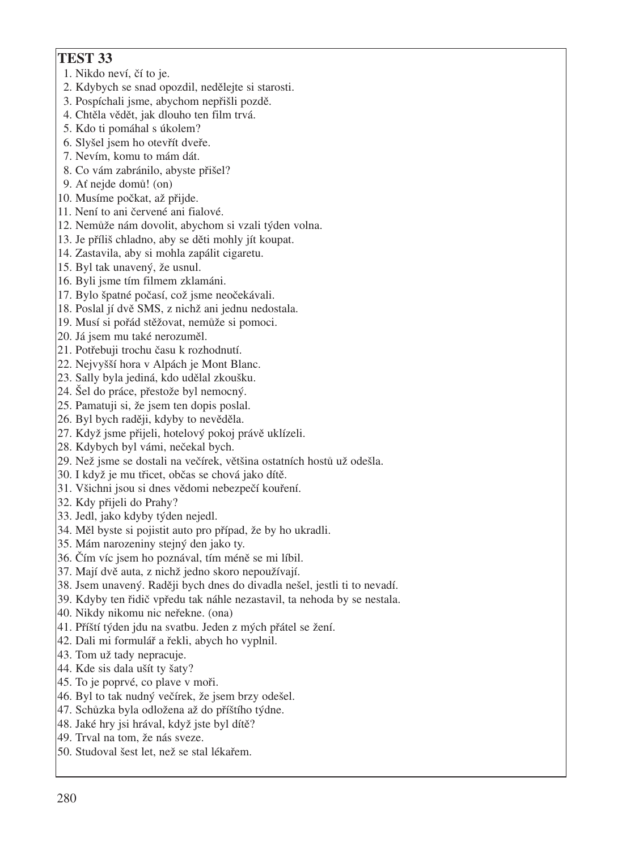- 1. Nikdo neví, čí to je.
- 2. Kdybych se snad opozdil, nedělejte si starosti.
- 3. Pospíchali jsme, abychom nepřišli pozdě.
- 4. Chtěla vědět, jak dlouho ten film trvá.
- 5. Kdo ti pomáhal s úkolem?
- 6. Slyšel jsem ho otevřít dveře.
- 7. Nevím, komu to mám dát.
- 8. Co vám zabránilo, abyste přišel?
- 9. Ať nejde domů! (on)
- 10. Musíme počkat, až přijde.
- 11. Není to ani červené ani fialové.
- 12. Nemůže nám dovolit, abychom si vzali týden volna.
- 13. Je příliš chladno, aby se děti mohly jít koupat.
- 14. Zastavila, aby si mohla zapálit cigaretu.
- 15. Byl tak unavený, že usnul.
- 16. Byli jsme tím filmem zklamáni.
- 17. Bylo špatné počasí, což jsme neočekávali.
- 18. Poslal jí dvě SMS, z nichž ani jednu nedostala.
- 19. Musí si pořád stěžovat, nemůže si pomoci.
- 20. Já jsem mu také nerozuměl.
- 21. Potřebuji trochu času k rozhodnutí.
- 22. Nejvyšší hora v Alpách je Mont Blanc.
- 23. Sally byla jediná, kdo udělal zkoušku.
- 24. Šel do práce, přestože byl nemocný.
- 25. Pamatuji si, že jsem ten dopis poslal.
- 26. Byl bych raději, kdyby to nevěděla.
- 27. Když jsme přijeli, hotelový pokoj právě uklízeli.
- 28. Kdybych byl vámi, nečekal bych.
- 29. Než jsme se dostali na večírek, většina ostatních hostů už odešla.
- 30. I když je mu třicet, občas se chová jako dítě.
- 31. Všichni jsou si dnes vědomi nebezpečí kouření.
- 32. Kdy přijeli do Prahy?
- 33. Jedl, jako kdyby týden nejedl.
- 34. Měl byste si pojistit auto pro případ, že by ho ukradli.
- 35. Mám narozeniny stejný den jako ty.
- 36. Čím víc jsem ho poznával, tím méně se mi líbil.
- 37. Mají dvě auta, z nichž jedno skoro nepoužívají.
- 38. Jsem unavený. Raději bych dnes do divadla nešel, jestli ti to nevadí.
- 39. Kdyby ten řidič vpředu tak náhle nezastavil, ta nehoda by se nestala.
- 40. Nikdy nikomu nic neřekne. (ona)
- 41. Příští týden jdu na svatbu. Jeden z mých přátel se žení.
- 42. Dali mi formulář a řekli, abych ho vyplnil.
- 43. Tom už tady nepracuje.
- 44. Kde sis dala ušít ty šaty?
- 45. To je poprvé, co plave v moři.
- 46. Byl to tak nudný večírek, že jsem brzy odešel.
- 47. Schůzka byla odložena až do příštího týdne.
- 48. Jaké hry jsi hrával, když jste byl dítě?
- 49. Trval na tom, že nás sveze.
- 50. Studoval šest let, než se stal lékařem.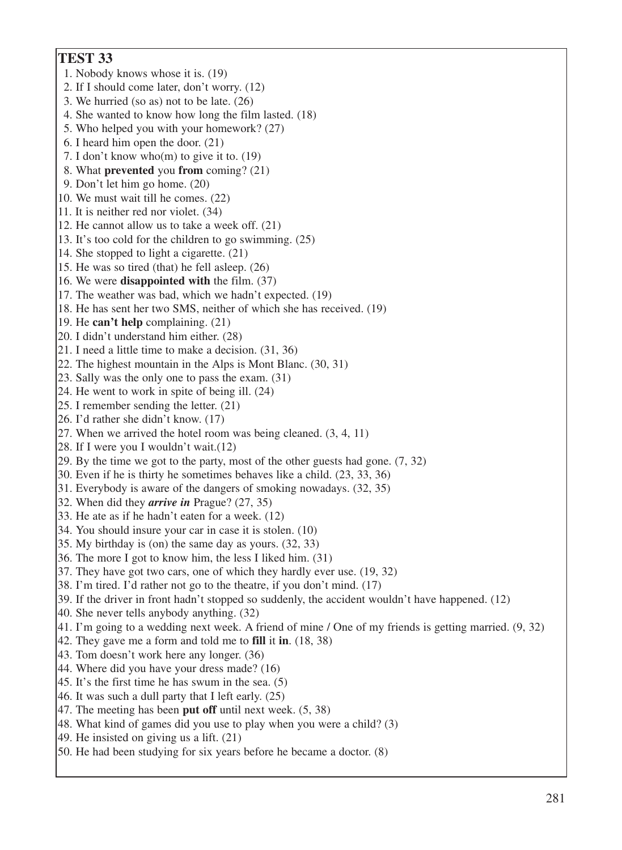**TEST 33** 1. Nobody knows whose it is. (19) 2. If I should come later, don't worry. (12) 3. We hurried (so as) not to be late. (26) 4. She wanted to know how long the film lasted. (18) 5. Who helped you with your homework? (27) 6. I heard him open the door. (21) 7. I don't know who(m) to give it to. (19) 8. What **prevented** you **from** coming? (21) 9. Don't let him go home. (20) 10. We must wait till he comes. (22) 11. It is neither red nor violet. (34) 12. He cannot allow us to take a week off. (21) 13. It's too cold for the children to go swimming. (25) 14. She stopped to light a cigarette. (21) 15. He was so tired (that) he fell asleep. (26) 16. We were **disappointed with** the film. (37) 17. The weather was bad, which we hadn't expected. (19) 18. He has sent her two SMS, neither of which she has received. (19) 19. He **can't help** complaining. (21) 20. I didn't understand him either. (28) 21. I need a little time to make a decision. (31, 36) 22. The highest mountain in the Alps is Mont Blanc. (30, 31) 23. Sally was the only one to pass the exam. (31) 24. He went to work in spite of being ill. (24) 25. I remember sending the letter. (21) 26. I'd rather she didn't know. (17) 27. When we arrived the hotel room was being cleaned. (3, 4, 11) 28. If I were you I wouldn't wait.(12) 29. By the time we got to the party, most of the other guests had gone. (7, 32) 30. Even if he is thirty he sometimes behaves like a child. (23, 33, 36) 31. Everybody is aware of the dangers of smoking nowadays. (32, 35) 32. When did they *arrive in* Prague? (27, 35) 33. He ate as if he hadn't eaten for a week. (12) 34. You should insure your car in case it is stolen. (10) 35. My birthday is (on) the same day as yours. (32, 33) 36. The more I got to know him, the less I liked him. (31) 37. They have got two cars, one of which they hardly ever use. (19, 32) 38. I'm tired. I'd rather not go to the theatre, if you don't mind. (17) 39. If the driver in front hadn't stopped so suddenly, the accident wouldn't have happened. (12) 40. She never tells anybody anything. (32) 41. I'm going to a wedding next week. A friend of mine / One of my friends is getting married. (9, 32) 42. They gave me a form and told me to **fill** it **in**. (18, 38) 43. Tom doesn't work here any longer. (36) 44. Where did you have your dress made? (16) 45. It's the first time he has swum in the sea. (5) 46. It was such a dull party that I left early. (25) 47. The meeting has been **put off** until next week. (5, 38) 48. What kind of games did you use to play when you were a child? (3) 49. He insisted on giving us a lift. (21) 50. He had been studying for six years before he became a doctor. (8)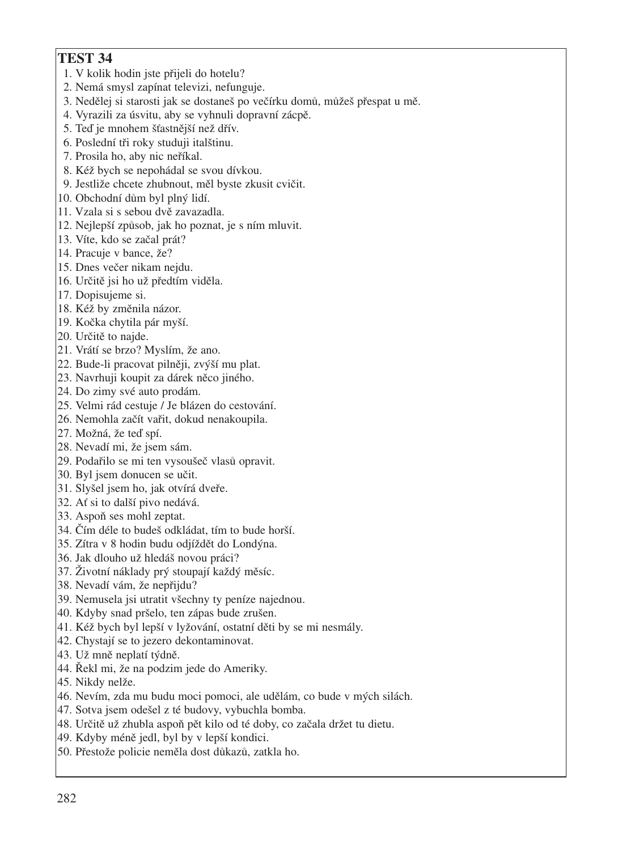- 1. V kolik hodin jste přijeli do hotelu?
- 2. Nemá smysl zapínat televizi, nefunguje.
- 3. Nedělej si starosti jak se dostaneš po večírku domů, můžeš přespat u mě.
- 4. Vyrazili za úsvitu, aby se vyhnuli dopravní zácpě.
- 5. Teď je mnohem šťastnější než dřív.
- 6. Poslední tři roky studuji italštinu.
- 7. Prosila ho, aby nic neříkal.
- 8. Kéž bych se nepohádal se svou dívkou.
- 9. Jestliže chcete zhubnout, měl byste zkusit cvičit.
- 10. Obchodní dům byl plný lidí.
- 11. Vzala si s sebou dvě zavazadla.
- 12. Nejlepší způsob, jak ho poznat, je s ním mluvit.
- 13. Víte, kdo se začal prát?
- 14. Pracuje v bance, že?
- 15. Dnes večer nikam nejdu.
- 16. Určitě jsi ho už předtím viděla.
- 17. Dopisujeme si.
- 18. Kéž by změnila názor.
- 19. Kočka chytila pár myší.
- 20. Určitě to najde.
- 21. Vrátí se brzo? Myslím, že ano.
- 22. Bude−li pracovat pilněji, zvýší mu plat.
- 23. Navrhuji koupit za dárek něco jiného.
- 24. Do zimy své auto prodám.
- 25. Velmi rád cestuje / Je blázen do cestování.
- 26. Nemohla začít vařit, dokud nenakoupila.
- 27. Možná, že teď spí.
- 28. Nevadí mi, že jsem sám.
- 29. Podařilo se mi ten vysoušeč vlasů opravit.
- 30. Byl jsem donucen se učit.
- 31. Slyšel jsem ho, jak otvírá dveře.
- 32. Ať si to další pivo nedává.
- 33. Aspoň ses mohl zeptat.
- 34. Čím déle to budeš odkládat, tím to bude horší.
- 35. Zítra v 8 hodin budu odjíždět do Londýna.
- 36. Jak dlouho už hledáš novou práci?
- 37. Životní náklady prý stoupají každý měsíc.
- 38. Nevadí vám, že nepřijdu?
- 39. Nemusela jsi utratit všechny ty peníze najednou.
- 40. Kdyby snad pršelo, ten zápas bude zrušen.
- 41. Kéž bych byl lepší v lyžování, ostatní děti by se mi nesmály.
- 42. Chystají se to jezero dekontaminovat.
- 43. Už mně neplatí týdně.
- 44. Řekl mi, že na podzim jede do Ameriky.
- 45. Nikdy nelže.
- 46. Nevím, zda mu budu moci pomoci, ale udělám, co bude v mých silách.
- 47. Sotva jsem odešel z té budovy, vybuchla bomba.
- 48. Určitě už zhubla aspoň pět kilo od té doby, co začala držet tu dietu.
- 49. Kdyby méně jedl, byl by v lepší kondici.
- 50. Přestože policie neměla dost důkazů, zatkla ho.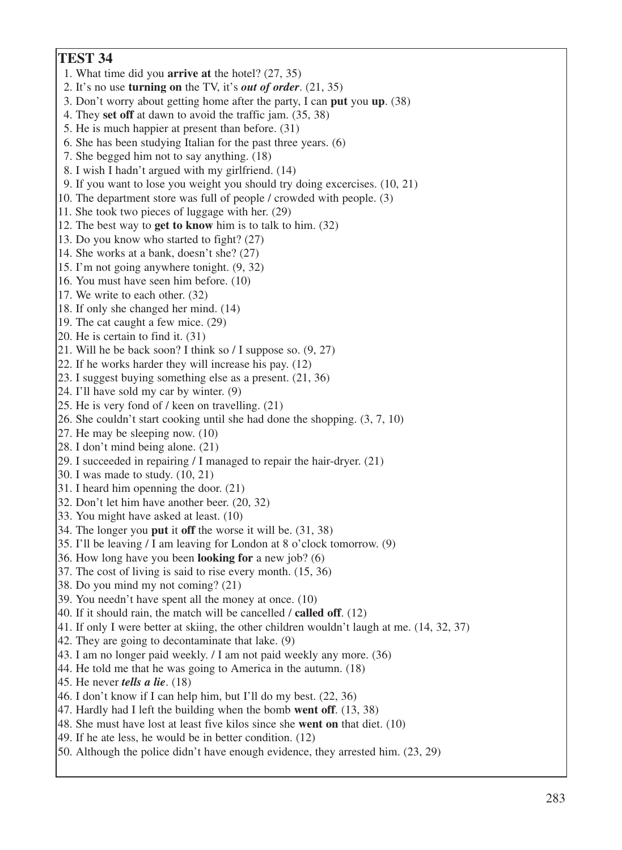- 1. What time did you **arrive at** the hotel? (27, 35)
- 2. It's no use **turning on** the TV, it's *out of order*. (21, 35)
- 3. Don't worry about getting home after the party, I can **put** you **up**. (38)
- 4. They **set off** at dawn to avoid the traffic jam. (35, 38)
- 5. He is much happier at present than before. (31)
- 6. She has been studying Italian for the past three years. (6)
- 7. She begged him not to say anything. (18)
- 8. I wish I hadn't argued with my girlfriend. (14)
- 9. If you want to lose you weight you should try doing excercises. (10, 21)
- 10. The department store was full of people / crowded with people. (3)
- 11. She took two pieces of luggage with her. (29)
- 12. The best way to **get to know** him is to talk to him. (32)
- 13. Do you know who started to fight? (27)
- 14. She works at a bank, doesn't she? (27)
- 15. I'm not going anywhere tonight. (9, 32)
- 16. You must have seen him before. (10)
- 17. We write to each other. (32)
- 18. If only she changed her mind. (14)
- 19. The cat caught a few mice. (29)
- 20. He is certain to find it. (31)
- 21. Will he be back soon? I think so / I suppose so. (9, 27)
- 22. If he works harder they will increase his pay. (12)
- 23. I suggest buying something else as a present. (21, 36)
- 24. I'll have sold my car by winter. (9)
- 25. He is very fond of / keen on travelling. (21)
- 26. She couldn't start cooking until she had done the shopping. (3, 7, 10)
- 27. He may be sleeping now. (10)
- 28. I don't mind being alone. (21)
- 29. I succeeded in repairing / I managed to repair the hair−dryer. (21)
- 30. I was made to study. (10, 21)
- 31. I heard him openning the door. (21)
- 32. Don't let him have another beer. (20, 32)
- 33. You might have asked at least. (10)
- 34. The longer you **put** it **off** the worse it will be. (31, 38)
- 35. I'll be leaving / I am leaving for London at 8 o'clock tomorrow. (9)
- 36. How long have you been **looking for** a new job? (6)
- 37. The cost of living is said to rise every month. (15, 36)
- 38. Do you mind my not coming? (21)
- 39. You needn't have spent all the money at once. (10)
- 40. If it should rain, the match will be cancelled / **called off**. (12)
- 41. If only I were better at skiing, the other children wouldn't laugh at me. (14, 32, 37)
- 42. They are going to decontaminate that lake. (9)
- 43. I am no longer paid weekly. / I am not paid weekly any more. (36)
- 44. He told me that he was going to America in the autumn. (18)
- 45. He never *tells a lie*. (18)
- 46. I don't know if I can help him, but I'll do my best. (22, 36)
- 47. Hardly had I left the building when the bomb **went off**. (13, 38)
- 48. She must have lost at least five kilos since she **went on** that diet. (10)
- 49. If he ate less, he would be in better condition. (12)
- 50. Although the police didn't have enough evidence, they arrested him. (23, 29)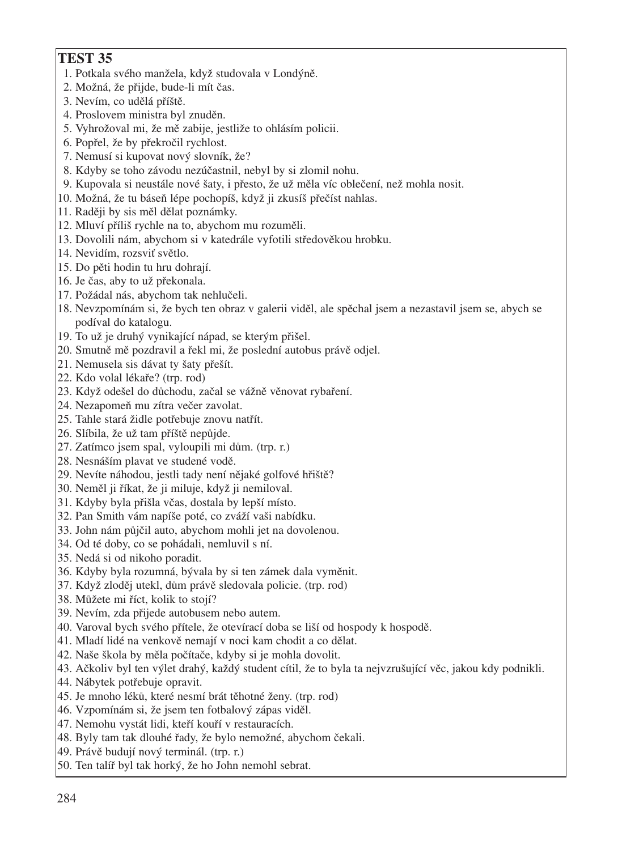- 1. Potkala svého manžela, když studovala v Londýně.
- 2. Možná, že přijde, bude−li mít čas.
- 3. Nevím, co udělá příště.
- 4. Proslovem ministra byl znuděn.
- 5. Vyhrožoval mi, že mě zabije, jestliže to ohlásím policii.
- 6. Popřel, že by překročil rychlost.
- 7. Nemusí si kupovat nový slovník, že?
- 8. Kdyby se toho závodu nezúčastnil, nebyl by si zlomil nohu.
- 9. Kupovala si neustále nové šaty, i přesto, že už měla víc oblečení, než mohla nosit.
- 10. Možná, že tu báseň lépe pochopíš, když ji zkusíš přečíst nahlas.
- 11. Raději by sis měl dělat poznámky.
- 12. Mluví příliš rychle na to, abychom mu rozuměli.
- 13. Dovolili nám, abychom si v katedrále vyfotili středověkou hrobku.
- 14. Nevidím, rozsviť světlo.
- 15. Do pěti hodin tu hru dohrají.
- 16. Je čas, aby to už překonala.
- 17. Požádal nás, abychom tak nehlučeli.
- 18. Nevzpomínám si, že bych ten obraz v galerii viděl, ale spěchal jsem a nezastavil jsem se, abych se podíval do katalogu.
- 19. To už je druhý vynikající nápad, se kterým přišel.
- 20. Smutně mě pozdravil a řekl mi, že poslední autobus právě odjel.
- 21. Nemusela sis dávat ty šaty přešít.
- 22. Kdo volal lékaře? (trp. rod)
- 23. Když odešel do důchodu, začal se vážně věnovat rybaření.
- 24. Nezapomeň mu zítra večer zavolat.
- 25. Tahle stará židle potřebuje znovu natřít.
- 26. Slíbila, že už tam příště nepůjde.
- 27. Zatímco jsem spal, vyloupili mi dům. (trp. r.)
- 28. Nesnáším plavat ve studené vodě.
- 29. Nevíte náhodou, jestli tady není nějaké golfové hřiště?
- 30. Neměl ji říkat, že ji miluje, když ji nemiloval.
- 31. Kdyby byla přišla včas, dostala by lepší místo.
- 32. Pan Smith vám napíše poté, co zváží vaši nabídku.
- 33. John nám půjčil auto, abychom mohli jet na dovolenou.
- 34. Od té doby, co se pohádali, nemluvil s ní.
- 35. Nedá si od nikoho poradit.
- 36. Kdyby byla rozumná, bývala by si ten zámek dala vyměnit.
- 37. Když zloděj utekl, dům právě sledovala policie. (trp. rod)
- 38. Můžete mi říct, kolik to stojí?
- 39. Nevím, zda přijede autobusem nebo autem.
- 40. Varoval bych svého přítele, že otevírací doba se liší od hospody k hospodě.
- 41. Mladí lidé na venkově nemají v noci kam chodit a co dělat.
- 42. Naše škola by měla počítače, kdyby si je mohla dovolit.
- 43. Ačkoliv byl ten výlet drahý, každý student cítil, že to byla ta nejvzrušující věc, jakou kdy podnikli.
- 44. Nábytek potřebuje opravit.
- 45. Je mnoho léků, které nesmí brát těhotné ženy. (trp. rod)
- 46. Vzpomínám si, že jsem ten fotbalový zápas viděl.
- 47. Nemohu vystát lidi, kteří kouří v restauracích.
- 48. Byly tam tak dlouhé řady, že bylo nemožné, abychom čekali.
- 49. Právě budují nový terminál. (trp. r.)
- 50. Ten talíř byl tak horký, že ho John nemohl sebrat.